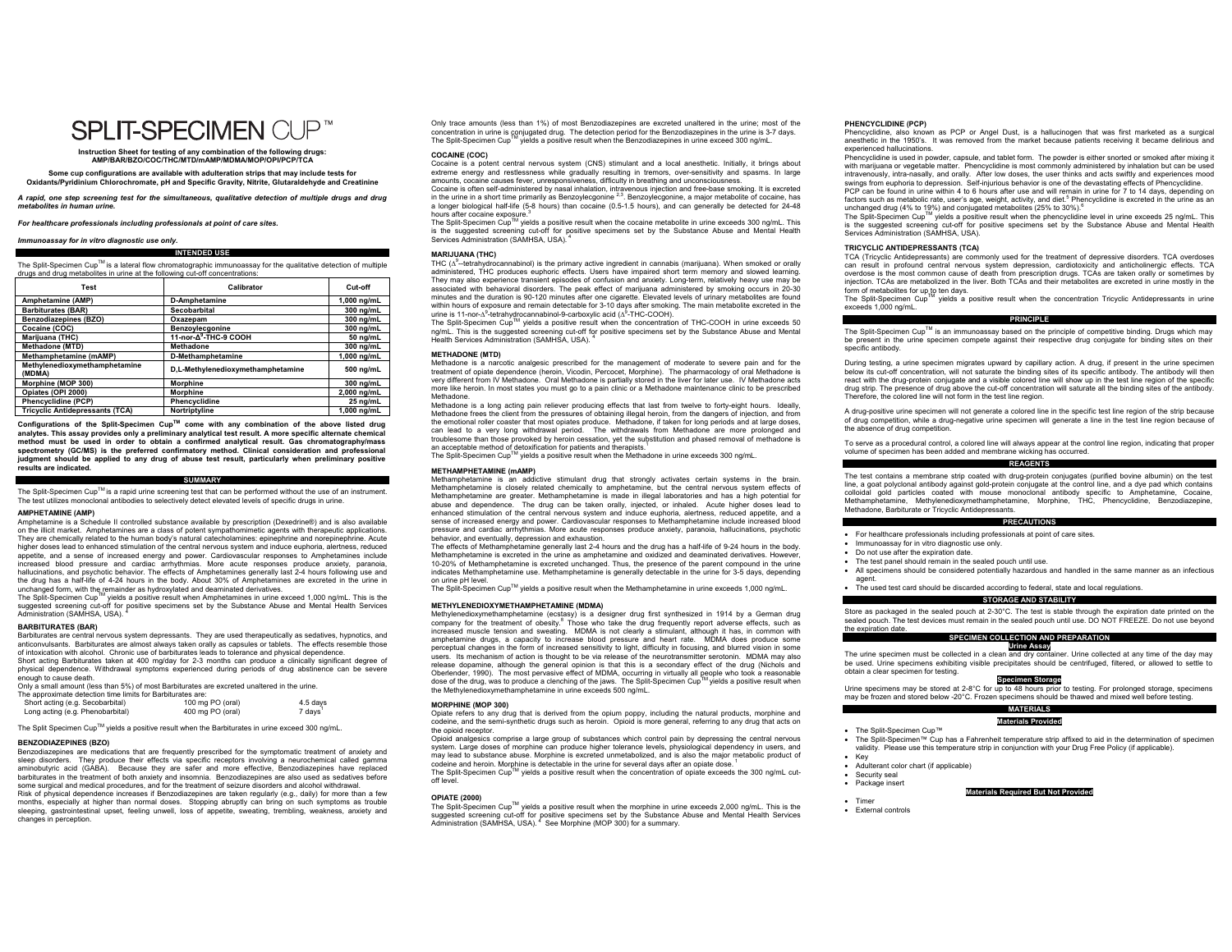# **SPI IT-SPECIMEN CUP™**

**Instruction Sheet for testing of any combination of the following drugs: AMP/BAR/BZO/COC/THC/MTD/mAMP/MDMA/MOP/OPI/PCP/TCA** 

**Some cup configurations are available with adulteration strips that may include tests for Oxidants/Pyridinium Chlorochromate, pH and Specific Gravity, Nitrite, Glutaraldehyde and Creatinine** 

*A rapid, one step screening test for the simultaneous, qualitative detection of multiple drugs and drug metabolites in human urine.* 

*For healthcare professionals including professionals at point of care sites.* 

#### *Immunoassay for in vitro diagnostic use only.*

**INTENDED USE** 

The Split-Specimen Cup™ is a lateral flow chromatographic immunoassay for the qualitative detection of multiple drugs and drug metabolites in urine at the following cut-off concentrations:

| Test                                    | Calibrator                        | Cut-off     |
|-----------------------------------------|-----------------------------------|-------------|
| Amphetamine (AMP)                       | <b>D-Amphetamine</b>              | 1.000 na/mL |
| <b>Barbiturates (BAR)</b>               | Secobarbital                      | 300 ng/mL   |
| <b>Benzodiazepines (BZO)</b>            | Oxazepam                          | 300 ng/mL   |
| Cocaine (COC)                           | Benzoylecgonine                   | 300 ng/mL   |
| <b>Mariiuana (THC)</b>                  | 11-nor-A <sup>9</sup> -THC-9 COOH | 50 ng/mL    |
| Methadone (MTD)                         | <b>Methadone</b>                  | 300 ng/mL   |
| Methamphetamine (mAMP)                  | <b>D-Methamphetamine</b>          | 1.000 ng/mL |
| Methylenedioxymethamphetamine<br>(MDMA) | D,L-Methylenedioxymethamphetamine | 500 ng/mL   |
| Morphine (MOP 300)                      | <b>Morphine</b>                   | 300 ng/mL   |
| Opiates (OPI 2000)                      | <b>Morphine</b>                   | 2,000 ng/mL |
| <b>Phencyclidine (PCP)</b>              | Phencyclidine                     | 25 ng/mL    |
| <b>Tricvclic Antidepressants (TCA)</b>  | Nortriptyline                     | 1.000 na/mL |

**Configurations of the Split-Specimen CupTM come with any combination of the above listed drug analytes. This assay provides only a preliminary analytical test result. A more specific alternate chemical method must be used in order to obtain a confirmed analytical result. Gas chromatography/mass spectrometry (GC/MS) is the preferred confirmatory method. Clinical consideration and professional judgment should be applied to any drug of abuse test result, particularly when preliminary positive results are indicated.** 

#### **SUMMARY**

The Split-Specimen Cup™ is a rapid urine screening test that can be performed without the use of an instrument. The test utilizes monoclonal antibodies to selectively detect elevated levels of specific drugs in urine.

#### **AMPHETAMINE (AMP)**

Amphetamine is a Schedule II controlled substance available by prescription (Dexedrine®) and is also available on the illicit market. Amphetamines are a class of potent sympathomimetic agents with therapeutic applications. They are chemically related to the human body's natural catecholamines: epinephrine and norepinephrine. Acute higher doses lead to enhanced stimulation of the central nervous system and induce euphoria, alertness, reduced appetite, and a sense of increased energy and power. Cardiovascular responses to Amphetamines include increased blood pressure and cardiac arrhythmias. More acute responses produce anxiety, paranoia, hallucinations, and psychotic behavior. The effects of Amphetamines generally last 2-4 hours following use and the drug has a half-life of 4-24 hours in the body. About 30% of Amphetamines are excreted in the urine in unchanged form, with the remainder as hydroxylated and deaminated derivatives.

The Split-Specimen Cup<sup>TM</sup> yields a positive result when Amphetamines in urine exceed 1,000 ng/mL. This is the suggested screening cut-off for positive specimens set by the Substance Abuse and Mental Health Services Administration (SAMHSA, USA). <sup>4</sup>

#### **BARBITURATES (BAR)**

Barbiturates are central nervous system depressants. They are used therapeutically as sedatives, hypnotics, and anticonvulsants. Barbiturates are almost always taken orally as capsules or tablets. The effects resemble those of intoxication with alcohol. Chronic use of barbiturates leads to tolerance and physical dependence. Short acting Barbiturates taken at 400 mg/day for 2-3 months can produce a clinically significant degree of

physical dependence. Withdrawal symptoms experienced during periods of drug abstinence can be severe .<br>hough to cause death. Only a small amount (less than 5%) of most Barbiturates are excreted unaltered in the urine.

| The approximate detection time limits for Barbiturates are: |                  |          |
|-------------------------------------------------------------|------------------|----------|
| Short acting (e.g. Secobarbital)                            | 100 mg PO (oral) | 4.5 days |
| Long acting (e.g. Phenobarbital)                            | 400 mg PO (oral) | 7 days   |

The Split Specimen Cup™ yields a positive result when the Barbiturates in urine exceed 300 ng/mL.

#### **BENZODIAZEPINES (BZO)**

Benzodiazepines are medications that are frequently prescribed for the symptomatic treatment of anxiety and sleep disorders. They produce their effects via specific receptors involving a neurochemical called gamma aminobutyric acid (GABA). Because they are safer and more effective, Benzodiazepines have replaced barbiturates in the treatment of both anxiety and insomnia. Benzodiazepines are also used as sedatives before some surgical and medical procedures, and for the treatment of seizure disorders and alcohol withdrawal. Risk of physical dependence increases if Benzodiazepines are taken regularly (e.g., daily) for more than a few months, especially at higher than normal doses. Stopping abruptly can bring on such symptoms as trouble sleeping, gastrointestinal upset, feeling unwell, loss of appetite, sweating, trembling, weakness, anxiety and changes in perception.

Only trace amounts (less than 1%) of most Benzodiazepines are excreted unaltered in the urine; most of the concentration in urine is conjugated drug. The detection period for the Benzodiazepines in the urine is 3-7 days. The Split-Specimen CupTM yields a positive result when the Benzodiazepines in urine exceed 300 ng/mL.

#### **COCAINE (COC)**

Cocaine is a potent central nervous system (CNS) stimulant and a local anesthetic. Initially, it brings about extreme energy and restlessness while gradually resulting in tremors, over-sensitivity and spasms. In large amounts, cocaine causes fever, unresponsiveness, difficulty in breathing and unconscious

Cocaine is often self-administered by nasal inhalation, intravenous injection and free-base smoking. It is excreted<br>in the urine in a short time primarily as Benzoylecgonine <sup>2,3</sup>. Benzoylecgonine, a major metabolite of co a longer biological half-life (5-8 hours) than cocaine (0.5-1.5 hours), and can generally be detected for 24-48 hours after cocaine exposure.<sup>3</sup><br>The Split-Specimen Cup™ yields a positive result when the cocaine metabolite in urine exceeds 300 ng/mL. This

is the suggested screening cut-off for positive specimens set by the Substance Abuse and Mental Health Services Administration (SAMHSA, USA).

#### **MARIJUANA (THC)**

THC  $(\Delta^9$ -tetrahydrocannabinol) is the primary active ingredient in cannabis (marijuana). When smoked or orally administered, THC produces euphoric effects. Users have impaired short term memory and slowed learning. They may also experience transient episodes of confusion and anxiety. Long-term, relatively heavy use may be associated with behavioral disorders. The peak effect of marijuana administered by smoking occurs in 20-30 minutes and the duration is 90-120 minutes after one cigarette. Elevated levels of urinary metabolites are found within hours of exposure and remain detectable for 3-10 days after smoking. The main metabolite excreted in the urine is 11-nor- $A^9$ -tetrahydrocannabinol-9-carboxylic acid  $(A^9$ -THC-COOH).

The Split-Specimen Cup<sup>TM</sup> yields a positive result when the concentration of THC-COOH in urine exceeds 50 ng/mL. This is the suggested screening cut-off for positive specimens set by the Substance Abuse and Mental<br>Health Services Administration (SAMHSA, USA). <sup>4</sup>

# **METHADONE (MTD)**

Methadone is a narcotic analgesic prescribed for the management of moderate to severe pain and for the treatment of opiate dependence (heroin, Vicodin, Percocet, Morphine). The pharmacology of oral Methadone is very different from IV Methadone. Oral Methadone is partially stored in the liver for later use. IV Methadone acts more like heroin. In most states you must go to a pain clinic or a Methadone maintenance clinic to be prescribed Methadone.

 Methadone is a long acting pain reliever producing effects that last from twelve to forty-eight hours. Ideally, Methadone frees the client from the pressures of obtaining illegal heroin, from the dangers of injection, and from<br>the emotional roller coaster that most opiates produce. Methadone, if taken for long periods and at large can lead to a very long withdrawal period. The withdrawals from Methadone are more prolonged and troublesome than those provoked by heroin cessation, yet the substitution and phased removal of methadone is an acceptable method of detoxification for patients and therapists.<sup>1</sup>

The Split-Specimen Cup<sup>TM</sup> yields a positive result when the Methadone in urine exceeds 300 ng/mL.

### **METHAMPHETAMINE (mAMP)**

Methamphetamine is an addictive stimulant drug that strongly activates certain systems in the brain. Methamphetamine is closely related chemically to amphetamine, but the central nervous system effects of Methamphetamine are greater. Methamphetamine is made in illegal laboratories and has a high potential for abuse and dependence. The drug can be taken orally, injected, or inhaled. Acute higher doses lead to enhanced stimulation of the central nervous system and induce euphoria, alertness, reduced appetite, and a sense of increased energy and power. Cardiovascular responses to Methamphetamine include increased blood pressure and cardiac arrhythmias. More acute responses produce anxiety, paranoia, hallucinations, psychotic behavior, and eventually, depression and exhaustion.

The effects of Methamphetamine generally last 2-4 hours and the drug has a half-life of 9-24 hours in the body. Methamphetamine is excreted in the urine as amphetamine and oxidized and deaminated derivatives. However, 10-20% of Methamphetamine is excreted unchanged. Thus, the presence of the parent compound in the urine indicates Methamphetamine use. Methamphetamine is generally detectable in the urine for 3-5 days, depending on urine pH level.

on unite prinever.<br>The Split-Specimen Cup™ vields a positive result when the Methamphetamine in urine exceeds 1,000 ng/mL.

#### **METHYLENEDIOXYMETHAMPHETAMINE (MDMA)**

Methylenedioxymethamphetamine (ecstasy) is a designer drug first synthesized in 1914 by a German drug company for the treatment of obesity.<sup>8</sup> Those who take the drug frequently report adverse effects, such as increased muscle tension and sweating. MDMA is not clearly a stimulant, although it has, in common with amphetamine drugs, a capacity to increase blood pressure and heart rate. MDMA does produce some perceptual changes in the form of increased sensitivity to light, difficulty in focusing, and blurred vision in some users. Its mechanism of action is thought to be via release of the neurotransmitter serotonin. MDMA may also release dopamine, although the general opinion is that this is a secondary effect of the drug (Nichols and Oberlender, 1990). The most pervasive effect of MDMA, occurring in virtually all people who took a reasonable<br>dose of the drug, was to produce a clenching of the jaws. The Split-Specimen Cup<sup>TM</sup> yields a positive result the Methylenedioxymethamphetamine in urine exceeds 500 ng/mL.

#### **MORPHINE (MOP 300)**

Opiate refers to any drug that is derived from the opium poppy, including the natural products, morphine and codeine, and the semi-synthetic drugs such as heroin. Opioid is more general, referring to any drug that acts on the opioid receptor.

Opioid analgesics comprise a large group of substances which control pain by depressing the central nervous system. Large doses of morphine can produce higher tolerance levels, physiological dependency in users, and may lead to substance abuse. Morphine is excreted unmetabolized, and is also the major metabolic product of may lead to substance abuse. Morphine is excreted unmetabolized, and is also the major metabolic product of codeine and heroin. Morphine is detectable in the urine for several days after an opiate dose.

The Split-Specimen CupTM yields a positive result when the concentration of opiate exceeds the 300 ng/mL cutoff level.

# **OPIATE (2000)**

The Split-Specimen CupTM yields a positive result when the morphine in urine exceeds 2,000 ng/mL. This is the suggested screening cut-off for positive specimens set by the Substance Abuse and Mental Health Services<br>Administration (SAMHSA, USA). <sup>4</sup> See Morphine (MOP 300) for a summary.

#### **PHENCYCLIDINE (PCP)**

Phencyclidine, also known as PCP or Angel Dust, is a hallucinogen that was first marketed as a surgical anesthetic in the 1950's. It was removed from the market because patients receiving it became delirious and experienced hallucinations.

Phencyclidine is used in powder, capsule, and tablet form. The powder is either snorted or smoked after mixing it with marijuana or vegetable matter. Phencyclidine is most commonly administered by inhalation but can be used intravenously, intra-nasally, and orally. After low doses, the user thinks and acts swiftly and experiences mood swings from euphoria to depression. Self-injurious behavior is one of the devastating effects of Phencyclidine. PCP can be found in urine within 4 to 6 hours after use and will remain in urine for 7 to 14 days, depending on

factors such as metabolic rate, user's age, weight, activity, and diet.5 Phencyclidine is excreted in the urine as an

unchanged drug (4% to 19%) and conjugated metabolites (25% to 30%).<sup>6</sup><br>The Split-Specimen Cup<sup>riM</sup> yields a positive result when the phencyclidine level in urine exceeds 25 ng/mL. This<br>is the suggested screening cut-off fo

#### **TRICYCLIC ANTIDEPRESSANTS (TCA)**

TCA (Tricyclic Antidepressants) are commonly used for the treatment of depressive disorders. TCA overdoses can result in profound central nervous system depression, cardiotoxicity and anticholinergic effects. TCA overdose is the most common cause of death from prescription drugs. TCAs are taken orally or sometimes by injection. TCAs are metabolized in the liver. Both TCAs and their metabolites are excreted in urine mostly in the form of metabolites for up to ten days.

The Split-Specimen Cup<sup>TM</sup> yields a positive result when the concentration Tricyclic Antidepressants in urine exceeds 1,000 ng/mL.

#### **PRINCIPLE**

The Split-Specimen Cup™ is an immunoassay based on the principle of competitive binding. Drugs which may be present in the urine specimen compete against their respective drug conjugate for binding sites on their specific antibody.

During testing, a urine specimen migrates upward by capillary action. A drug, if present in the urine specimen below its cut-off concentration, will not saturate the binding sites of its specific antibody. The antibody will then react with the drug-protein conjugate and a visible colored line will show up in the test line region of the specific drug strip. The presence of drug above the cut-off concentration will saturate all the binding sites of the antibody. refore, the colored line will not form in the test line region.

A drug-positive urine specimen will not generate a colored line in the specific test line region of the strip because of drug competition, while a drug-negative urine specimen will generate a line in the test line region because of the absence of drug competition.

To serve as a procedural control, a colored line will always appear at the control line region, indicating that proper volume of specimen has been added and membrane wicking has occurred.

#### **REAGENTS**

The test contains a membrane strip coated with drug-protein conjugates (purified bovine albumin) on the test line, a goat polyclonal antibody against gold-protein conjugate at the control line, and a dye pad which contains colloidal gold particles coated with mouse monoclonal antibody specific to Amphetamine, Cocaine,<br>Methamphetamine, Methylenedioxymethamphetamine, Morphine, THC, Phencyclidine, Benzodiazepine, Methamphetamine, Methylenedioxymethamphetamine, Morphine, Methadone, Barbiturate or Tricyclic Antidepressants.

# **PRECAUTIONS**

- For healthcare professionals including professionals at point of care sites.
- Immunoassay for in vitro diagnostic use only. **Bo not use after the expiration date.**
- The test panel should remain in the sealed pouch until use.
- $\bullet$  All specimens should be considered potentially hazardous and handled in the same manner as an infectious agent.
- x The used test card should be discarded according to federal, state and local regulations.

#### **STORAGE AND STABILITY**

Store as packaged in the sealed pouch at 2-30°C. The test is stable through the expiration date printed on the sealed pouch. The test devices must remain in the sealed pouch until use. DO NOT FREEZE. Do not use beyond the expiration date.

#### **SPECIMEN COLLECTION AND PREPARATION Urine Assay**

The urine specimen must be collected in a clean and dry container. Urine collected at any time of the day may be used. Urine specimens exhibiting visible precipitates should be centrifuged, filtered, or allowed to settle to obtain a clear specimen for testing.

#### **Specimen Storage**

Urine specimens may be stored at 2-8°C for up to 48 hours prior to testing. For prolonged storage, specimens may be frozen and stored below -20°C. Frozen specimens should be thawed and mixed well before testing.

# **MATERIALS**

## **Materials Provided**

- <sup>x</sup> The Split-Specimen Cup™ • The Split-Specimen™ Cup has a Fahrenheit temperature strip affixed to aid in the determination of specimen validity. Please use this temperature strip in conjunction with your Drug Free Policy (if applicable).
- $K_{\text{eV}}$ <sup>x</sup> Adulterant color chart (if applicable)
- Security seal
- <sup>x</sup> Package insert

#### **Materials Required But Not Provided**

- x Timer
- 
- External controls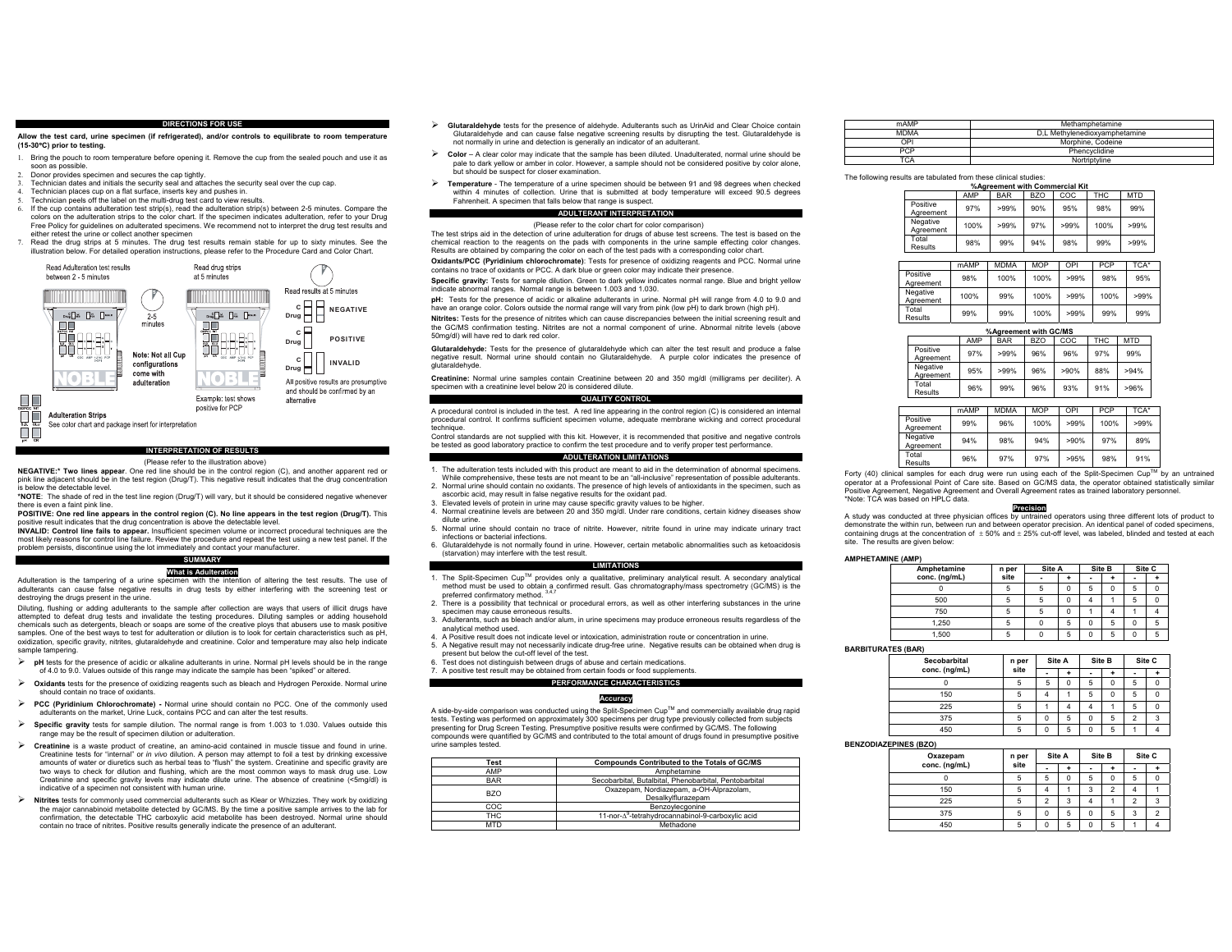#### **DIRECTIONS FOR USE**

**Allow the test card, urine specimen (if refrigerated), and/or controls to equilibrate to room temperature (15-30**q**C) prior to testing.** 

- 1. Bring the pouch to room temperature before opening it. Remove the cup from the sealed pouch and use it as soon as possible.
- 2. Donor provides specimen and secures the cap tightly.
- 3. Technician dates and initials the security seal and attaches the security seal over the cup cap.
- 4. Technician places cup on a flat surface, inserts key and pushes in.
- 5. Technician peels off the label on the multi-drug test card to view results.
- If the cup contains adulteration test strip(s), read the adulteration strip(s) between 2-5 minutes. Compare the colors on the adulteration strips to the color chart. If the specimen indicates adulteration, refer to your Drug Free Policy for guidelines on adulterated specimens. We recommend not to interpret the drug test results and either retest the urine or collect another specimen 7. Read the drug strips at 5 minutes. The drug test results remain stable for up to sixty minutes. See the
- illustration below. For detailed operation instructions, please refer to the Procedure Card and Color Chart.



#### **INTERPRETATION OF RESULTS**

#### (Please refer to the illustration above)

**NEGATIVE:\* Two lines appear**. One red line should be in the control region (C), and another apparent red or pink line adjacent should be in the test region (Drug/T). This negative result indicates that the drug concentration below the detectable level.

 **\*NOTE**: The shade of red in the test line region (Drug/T) will vary, but it should be considered negative whenever there is even a faint pink line.

**POSITIVE:** One red line appears in the control region (C). No line appears in the test region (Drug/T). This positive result indicates that the drug concentration is above the detectable level.

**INVALID: Control line fails to appear.** Insufficient specimen volume or incorrect procedural techniques are the most likely reasons for control line failure. Review the procedure and repeat the test using a new test panel. If the problem persists, discontinue using the lot immediately and contact your manufacturer.

#### **SUMMARY What is Adulteration**

 Adulteration is the tampering of a urine specimen with the intention of altering the test results. The use of adulterants can cause false negative results in drug tests by either interfering with the screening test or destroying the drugs present in the urine.

Diluting, flushing or adding adulterants to the sample after collection are ways that users of illicit drugs have attempted to defeat drug tests and invalidate the testing procedures. Diluting samples or adding household chemicals such as detergents, bleach or soaps are some of the creative ploys that abusers use to mask positive samples. One of the best ways to test for adulteration or dilution is to look for certain characteristics such as pH, oxidization, specific gravity, nitrites, glutaraldehyde and creatinine. Color and temperature may also help indicate sample tampering

- ¾ **pH** tests for the presence of acidic or alkaline adulterants in urine. Normal pH levels should be in the range of 4.0 to 9.0. Values outside of this range may indicate the sample has been "spiked" or altered.
- ¾ **Oxidants** tests for the presence of oxidizing reagents such as bleach and Hydrogen Peroxide. Normal urine should contain no trace of oxidants.
- ¾ **PCC (Pyridinium Chlorochromate) -** Normal urine should contain no PCC. One of the commonly used adulterants on the market, Urine Luck, contains PCC and can alter the test results.
- ¾ **Specific gravity** tests for sample dilution. The normal range is from 1.003 to 1.030. Values outside this range may be the result of specimen dilution or adulteration.
- ¾ **Creatinine** is a waste product of creatine, an amino-acid contained in muscle tissue and found in urine. Creatinine tests for "internal" or *in vivo* dilution. A person may attempt to foil a test by drinking excessive amounts of water or diuretics such as herbal teas to "flush" the system. Creatinine and specific gravity are two ways to check for dilution and flushing, which are the most common ways to mask drug use. Low Creatinine and specific gravity levels may indicate dilute urine. The absence of creatinine (<5mg/dl) is indicative of a specimen not consistent with human urine.
- ¾ **Nitrites** tests for commonly used commercial adulterants such as Klear or Whizzies. They work by oxidizing the major cannabinoid metabolite detected by GC/MS. By the time a positive sample arrives to the lab for the major cannabinoid metabolite detected by GC/MS. By the time a positive sample arrives to the lab for confirmation, the detectable THC carboxylic acid metabolite has been destroyed. Normal urine should contain no trace of nitrites. Positive results generally indicate the presence of an adulterant.
- ¾ **Glutaraldehyde** tests for the presence of aldehyde. Adulterants such as UrinAid and Clear Choice contain Glutaraldehyde and can cause false negative screening results by disrupting the test. Glutaraldehyde is not normally in urine and detection is generally an indicator of an adulterant.
- ¾ **Color** A clear color may indicate that the sample has been diluted. Unadulterated, normal urine should be pale to dark yellow or amber in color. However, a sample should not be considered positive by color alone but should be suspect for closer examination.
- ¾ **Temperature** - The temperature of a urine specimen should be between 91 and 98 degrees when checked within 4 minutes of collection. Urine that is submitted at body temperature will exceed 90.5 degrees Fahrenheit. A specimen that falls below that range is suspect.

# **ADULTERANT INTERPRETATION**

(Please refer to the color chart for color comparison) The test strips aid in the detection of urine adulteration for drugs of abuse test screens. The test is based on the chemical reaction to the reagents on the pads with components in the urine sample effecting color changes. Results are obtained by comparing the color on each of the test pads with a corresponding color chart.

**Oxidants/PCC (Pyridinium chlorochromate)**: Tests for presence of oxidizing reagents and PCC. Normal urine contains no trace of oxidants or PCC. A dark blue or green color may indicate their presence.

**Specific gravity:** Tests for sample dilution. Green to dark yellow indicates normal range. Blue and bright yellow indicate abnormal ranges. Normal range is between 1.003 and 1.030.

**pH:** Tests for the presence of acidic or alkaline adulterants in urine. Normal pH will range from 4.0 to 9.0 and have an orange color. Colors outside the normal range will vary from pink (low pH) to dark brown (high pH).

**Nitrites:** Tests for the presence of nitrites which can cause discrepancies between the initial screening result and the GC/MS confirmation testing. Nitrites are not a normal component of urine. Abnormal nitrite levels (above 50mg/dl) will have red to dark red color.

**Glutaraldehyde:** Tests for the presence of glutaraldehyde which can alter the test result and produce a false negative result. Normal urine should contain no Glutaraldehyde. A purple color indicates the presence of glutaraldehyde.

**Creatinine:** Normal urine samples contain Creatinine between 20 and 350 mg/dl (milligrams per deciliter). A specimen with a creatinine level below 20 is considered dilute.

#### **QUALITY CONTROL**

A procedural control is included in the test. A red line appearing in the control region (C) is considered an internal procedural control. It confirms sufficient specimen volume, adequate membrane wicking and correct procedural technique.

Control standards are not supplied with this kit. However, it is recommended that positive and negative controls be tested as good laboratory practice to confirm the test procedure and to verify proper test performance. **ADULTERATION LIMITATIONS** 

- 1. The adulteration tests included with this product are meant to aid in the determination of abnormal specimens. While comprehensive, these tests are not meant to be an "all-inclusive" representation of possible adulterants.
- 2. Normal urine should contain no oxidants. The presence of high levels of antioxidants in the specimen, such as ascorbic acid, may result in false negative results for the oxidant pad.
- 
- 3. Elevated levels of protein in urine may cause specific gravity values to be higher. 4. Normal creatinine levels are between 20 and 350 mg/dl. Under rare conditions, certain kidney diseases show dilute urine.
- 5. Normal urine should contain no trace of nitrite. However, nitrite found in urine may indicate urinary tract infections or bacterial infections.
- 6. Glutaraldehyde is not normally found in urine. However, certain metabolic abnormalities such as ketoacidosis (starvation) may interfere with the test result.

#### **LIMITATIONS**

- 1. The Split-Specimen Cup™ provides only a qualitative, preliminary analytical result. A secondary analytical method must be used to obtain a confirmed result. Gas chromatography/mass spectrometry (GC/MS) is the preferred confirmatory method.
- 2. There is a possibility that technical or procedural errors, as well as other interfering substances in the urine specimen may cause erroneous results.
- 3. Adulterants, such as bleach and/or alum, in urine specimens may produce erroneous results regardless of the analytical method used.
- 4. A Positive result does not indicate level or intoxication, administration route or concentration in urine. 5. A Negative result may not necessarily indicate drug-free urine. Negative results can be obtained when drug is present but below the cut-off level of the test.
- Test does not distinguish between drugs of abuse and certain medications.
- 7. A positive test result may be obtained from certain foods or food supplements.

#### **PERFORMANCE CHARACTERISTICS**

#### **Accuracy**

A side-by-side comparison was conducted using the Split-Specimen CupTM and commercially available drug rapid tests. Testing was performed on approximately 300 specimens per drug type previously collected from subjects presenting for Drug Screen Testing. Presumptive positive results were confirmed by GC/MS. The following compounds were quantified by GC/MS and contributed to the total amount of drugs found in presumptive positive urine samples tested.

| Test       | <b>Compounds Contributed to the Totals of GC/MS</b>           |
|------------|---------------------------------------------------------------|
| AMP        | Amphetamine                                                   |
| <b>BAR</b> | Secobarbital, Butalbital, Phenobarbital, Pentobarbital        |
| <b>BZO</b> | Oxazepam, Nordiazepam, a-OH-Alprazolam,<br>Desalkvlflurazepam |
| COC        | Benzovlecgonine                                               |
| <b>THC</b> | 11-nor-A <sup>9</sup> -tetrahydrocannabinol-9-carboxylic acid |
| <b>MTD</b> | Methadone                                                     |

| mAMP        | Methamphetamine               |
|-------------|-------------------------------|
| <b>MDMA</b> | D.L Methylenedioxyamphetamine |
| OPI         | Morphine, Codeine             |
| <b>PCP</b>  | Phencyclidine                 |
| TCA         | Nortriptyline                 |

# The following results are tabulated from these clinical studies:

| %Agreement with Commercial Kit |                                        |         |     |         |      |         |  |  |
|--------------------------------|----------------------------------------|---------|-----|---------|------|---------|--|--|
|                                | AMP<br>COC<br>THC<br>BZO<br><b>BAR</b> |         |     |         |      |         |  |  |
| Positive<br>Agreement          | 97%                                    | $>99\%$ | 90% | 95%     | 98%  | 99%     |  |  |
| Negative<br>Agreement          | 100%                                   | $>99\%$ | 97% | $>99\%$ | 100% | $>99\%$ |  |  |
| Total<br>Results               | 98%                                    | 99%     | 94% | 98%     | 99%  | $>99\%$ |  |  |
|                                |                                        |         |     |         |      |         |  |  |

|                       | mAMP | <b>MDMA</b> | <b>MOP</b> | OPI     | <b>PCP</b> | TCA*    |
|-----------------------|------|-------------|------------|---------|------------|---------|
| Positive<br>Agreement | 98%  | 100%        | 100%       | $>99\%$ | 98%        | 95%     |
| Negative<br>Agreement | 100% | 99%         | 100%       | $>99\%$ | 100%       | $>99\%$ |
| Total<br>Results      | 99%  | 99%         | 100%       | $>99\%$ | 99%        | 99%     |

| %Agreement with GC/MS |     |            |     |      |      |            |  |  |  |  |  |
|-----------------------|-----|------------|-----|------|------|------------|--|--|--|--|--|
|                       | AMP | <b>BAR</b> | BZO | COC  | THC. | <b>MTD</b> |  |  |  |  |  |
| Positive<br>Agreement | 97% | $>99\%$    | 96% | 96%  | 97%  | 99%        |  |  |  |  |  |
| Negative<br>Agreement | 95% | $>99\%$    | 96% | >90% | 88%  | >94%       |  |  |  |  |  |
| Total<br>Results      | 96% | 99%        | 96% | 93%  | 91%  | >96%       |  |  |  |  |  |

|                       | mAMP | <b>MDMA</b> | <b>MOP</b> | OPI     | <b>PCP</b> | TCA*    |
|-----------------------|------|-------------|------------|---------|------------|---------|
| Positive<br>Agreement | 99%  | 96%         | 100%       | $>99\%$ | 100%       | $>99\%$ |
| Negative<br>Agreement | 94%  | 98%         | 94%        | >90%    | 97%        | 89%     |
| Total<br>Results      | 96%  | 97%         | 97%        | >95%    | 98%        | 91%     |

Forty (40) clinical samples for each drug were run using each of the Split-Specimen Cup™ by an untrained operator at a Professional Point of Care site. Based on GC/MS data, the operator obtained statistically similar Positive Agreement, Negative Agreement and Overall Agreement rates as trained laboratory personnel. \*Note: TCA was based on HPLC data.

#### **Precision**

 A study was conducted at three physician offices by untrained operators using three different lots of product to demonstrate the within run, between run and between operator precision. An identical panel of coded specimens, containing drugs at the concentration of  $\pm$  50% and  $\pm$  25% cut-off level, was labeled, blinded and tested at each site. The results are given below:

#### **AMPHETAMINE (AMP)**

| Amphetamine   | n per |   | Site A      |   | Site B   |   | Site C |  |
|---------------|-------|---|-------------|---|----------|---|--------|--|
| conc. (ng/mL) | site  |   |             |   |          | - |        |  |
|               | 5     | 5 | $\Omega$    | 5 | $\Omega$ | 5 |        |  |
| 500           | 5     | 5 | $\mathbf 0$ |   |          | 5 | 0      |  |
| 750           | 5     | 5 | 0           |   |          |   |        |  |
| 1.250         | 5     | 0 | 5           | 0 | 5        | 0 | 5      |  |
| 1.500         |       |   | 5           |   | 5        | 0 |        |  |

#### **BARBITURATES (BAR)**

| Secobarbital  | n per | Site A   |          | Site B   |          |                | Site C |
|---------------|-------|----------|----------|----------|----------|----------------|--------|
| conc. (ng/mL) | site  |          |          | ۰        |          | -              |        |
|               | 5     | 5        | $\Omega$ | 5        | $\Omega$ | 5              |        |
| 150           | 5     |          |          | 5        | 0        | 5              |        |
| 225           | 5     |          |          | 4        |          | 5              |        |
| 375           | 5     | $\Omega$ | 5        | 0        | 5        | $\overline{2}$ | 3      |
| 450           | 5     | n        | 5        | $\Omega$ | 5        |                |        |

## **BENZODIAZEPINES (BZO)**

| Oxazepam      | n per |                | Site A | Site B   |                |                | Site C |
|---------------|-------|----------------|--------|----------|----------------|----------------|--------|
| conc. (ng/mL) | site  | ۰              |        |          |                |                |        |
| 0             |       | 5              | 0      | 5        | 0              | 5              |        |
| 150           |       |                |        | 3        | $\overline{2}$ |                |        |
| 225           |       | $\overline{2}$ | 3      |          |                | $\overline{2}$ | 3      |
| 375           |       | 0              | 5      | 0        | 5              | 3              | ◠      |
| 450           |       | $\Omega$       | 5      | $\Omega$ | 5              |                |        |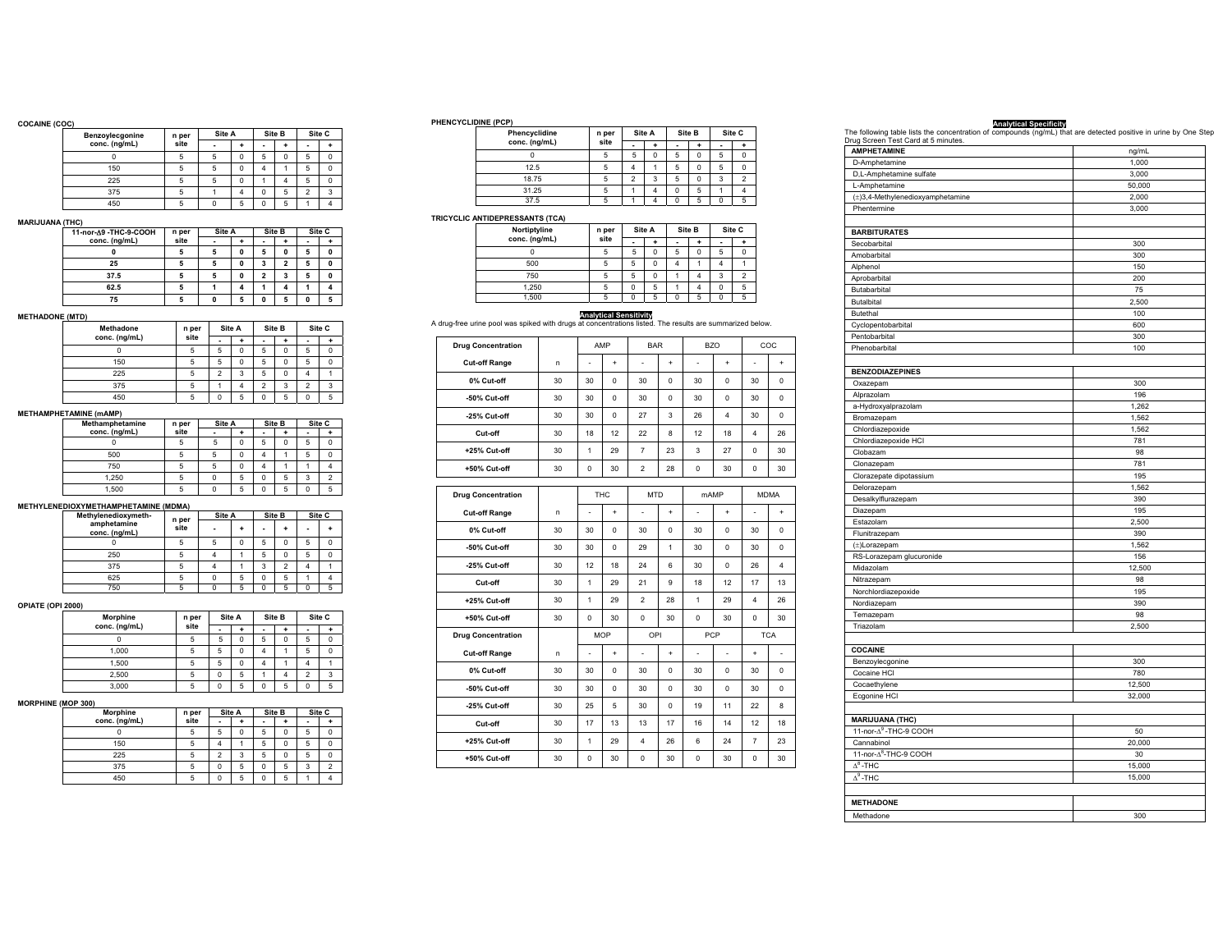### **COCAINE (COC)**

| .,              |               |       |        |   |          |   |                |   |
|-----------------|---------------|-------|--------|---|----------|---|----------------|---|
| Benzoylecgonine |               | n per | Site A |   | Site B   |   | Site C         |   |
|                 | conc. (ng/mL) | site  |        |   | ٠        |   | ٠              |   |
|                 |               | 5     | 5      | 0 | 5        | 0 | 5              |   |
|                 | 150           | 5     | 5      | 0 |          |   | 5              |   |
|                 | 225           | 5     | 5      | 0 |          |   | 5              |   |
|                 | 375           | 5     |        |   | $\Omega$ | 5 | $\mathfrak{p}$ | ٠ |
|                 | 450           | 5     |        | 5 | $\Omega$ | 5 |                |   |

# **MARIJUANA (THC)**

| 11-nor-A9 -THC-9-COOH | n per | Site A |   | Site B |                | Site C |   |
|-----------------------|-------|--------|---|--------|----------------|--------|---|
| conc. (ng/mL)         | site  |        |   | -      |                |        |   |
|                       | 5     |        | 0 | 5      | $\mathbf{0}$   | 5      | 0 |
| 25                    | 5     |        | U | 3      | $\overline{2}$ | 5      | 0 |
| 37.5                  | 5     |        | n | 2      | 3              | 5      | 0 |
| 62.5                  | 5     |        |   |        |                |        |   |
| 75                    | 5     |        | 5 | O      | 5              | n      |   |

# **METHADONE (MTD)**

| <b>Methadone</b> | n per | Site A                   |          | Site B                   |   |   | Site C |
|------------------|-------|--------------------------|----------|--------------------------|---|---|--------|
| conc. (ng/mL)    | site  | ٠                        | ۰        | ٠                        |   | ٠ |        |
| 0                | 5     | 5                        | $\Omega$ | 5                        | 0 | 5 |        |
| 150              | 5     | 5                        | 0        | 5                        | 0 | 5 |        |
| 225              | 5     | $\overline{\phantom{a}}$ | 3        | 5                        | 0 |   |        |
| 375              | 5     |                          |          | $\overline{\phantom{a}}$ | 3 | 2 | 3      |
| 450              | 5     | 0                        | 5        | $\Omega$                 | 5 |   |        |

# **METHAMPHETAMINE (mAMP)**

| Methamphetamine | n per |          | Site A   |          | Site B   |          | Site C |
|-----------------|-------|----------|----------|----------|----------|----------|--------|
| conc. (ng/mL)   | site  |          |          |          |          |          |        |
|                 | 5     | 5        | 0        | 5        | $\Omega$ | 5        |        |
| 500             | 5     | 5        | $\Omega$ |          |          | 5        |        |
| 750             | 5     | 5        | 0        |          |          |          |        |
| 1.250           | 5     | $\Omega$ | 5        | 0        | 5        | 3        |        |
| 1.500           |       | $\Omega$ | 5        | $\Omega$ | 5        | $\Omega$ |        |

# **METHYLENEDIOXYMETHAMPHETAMINE (MDMA)**

|   |                |        | Site C |
|---|----------------|--------|--------|
| - |                | ۰      |        |
| 5 | 0              | 5      | 0      |
| 5 | O              | 5      | 0      |
| 3 | $\mathfrak{p}$ |        |        |
| 0 | 5              |        |        |
| 0 | 5              |        | 5      |
|   |                | Site B |        |

# **OPIATE (OPI 2000)**

| Morphine      | n per | Site A |   | Site B   |   | Site C         |             |  |
|---------------|-------|--------|---|----------|---|----------------|-------------|--|
| conc. (ng/mL) | site  | ۰      |   |          |   |                |             |  |
|               | 5     | 5      | 0 | 5        | 0 | 5              | $\mathbf 0$ |  |
| 1.000         | 5     | 5      | 0 |          |   | 5              | $\Omega$    |  |
| 1.500         | 5     | 5      | 0 |          |   |                |             |  |
| 2.500         | 5     | 0      | 5 |          |   | $\overline{2}$ | 3           |  |
| 3.000         | 5     | 0      | 5 | $\Omega$ | 5 | 0              | 5           |  |
|               |       |        |   |          |   |                |             |  |

#### **MORPHINE (MOP 300)**

| 1 9 9007        |                 |                |          |          |             |        |                |  |
|-----------------|-----------------|----------------|----------|----------|-------------|--------|----------------|--|
| <b>Morphine</b> | Site A<br>n per |                |          | Site B   |             | Site C |                |  |
| conc. (ng/mL)   | site            |                |          |          |             | ٠      |                |  |
|                 | 5               | 5              | $\Omega$ | 5        | 0           | 5      | 0              |  |
| 150             | 5               |                |          | 5        | $\mathbf 0$ | 5      | 0              |  |
| 225             | 5               | $\mathfrak{p}$ | 3        | 5        | $\mathbf 0$ | 5      | $\mathbf 0$    |  |
| 375             | 5               | 0              | 5        | $\Omega$ | 5           | 3      | $\overline{2}$ |  |
| 450             | 5               | n              | 5        | $\Omega$ | 5           |        | 4              |  |

### **PHENCYCLIDINE (PCP)**

| Phencyclidine | n per |                | Site A | Site B   |          | Site C   |                |
|---------------|-------|----------------|--------|----------|----------|----------|----------------|
| conc. (ng/mL) | site  | ۰              |        |          |          | ۰        |                |
|               |       | 5              | 0      | 5        | 0        | 5        | 0              |
| 12.5          |       |                |        | 5        | 0        | 5        | $\Omega$       |
| 18.75         |       | $\overline{2}$ | 3      | 5        | $\Omega$ | 3        | $\overline{2}$ |
| 31.25         |       |                | 4      | $\Omega$ | 5        |          |                |
| 37.5          |       |                | Λ      |          | 5        | $\Omega$ | 5              |

# **TRICYCLIC ANTIDEPRESSANTS (TCA)**

| Nortiptyline  | Site A<br>n per |   | Site B   |                |          | Site C         |                |
|---------------|-----------------|---|----------|----------------|----------|----------------|----------------|
| conc. (ng/mL) | site            |   |          | ۰              |          | $\blacksquare$ |                |
| 0             | 5               | 5 | 0        | 5              | $\Omega$ | 5              | 0              |
| 500           | 5               | 5 | 0        | $\overline{4}$ |          | 4              |                |
| 750           | 5               | 5 | $\Omega$ |                |          | 3              | $\overline{2}$ |
| 1,250         | 5               | 0 | 5        |                |          | 0              | 5              |
| 1.500         | 5               | 0 | 5        | n              | 5        | $\Omega$       | 5              |

# **Analytical Sensitivity**

| A drug-free urine pool was spiked with drugs at concentrations listed. The results are summarized below. |  |
|----------------------------------------------------------------------------------------------------------|--|
|----------------------------------------------------------------------------------------------------------|--|

| <b>Drug Concentration</b> |    |              | AMP        | <b>BAR</b>     |           |                | <b>BZO</b> |             | COC         |
|---------------------------|----|--------------|------------|----------------|-----------|----------------|------------|-------------|-------------|
| <b>Cut-off Range</b>      | n  | ä,           | $\ddot{}$  | ä,             | $\ddot{}$ | $\overline{a}$ | $\ddot{}$  | ä,          | $\ddot{}$   |
| 0% Cut-off                | 30 | 30           | 0          | 30             | 0         | 30             | 0          | 30          | 0           |
| -50% Cut-off              | 30 | 30           | 0          | 30             | 0         | 30             | 0          | 30          | $\mathbf 0$ |
| -25% Cut-off              | 30 | 30           | $\Omega$   | 27             | 3         | 26             | 4          | 30          | $\mathbf 0$ |
| Cut-off                   | 30 | 18           | 12         | 22             | 8         | 12             | 18         | 4           | 26          |
| +25% Cut-off              | 30 | 1            | 29         | $\overline{7}$ | 23        | 3              | 27         | 0           | 30          |
| +50% Cut-off              | 30 | 0            | 30         | $\overline{2}$ | 28        | $\mathbf 0$    | 30         | 0           | 30          |
| <b>Drug Concentration</b> |    |              | <b>THC</b> | <b>MTD</b>     |           | mAMP           |            | <b>MDMA</b> |             |
|                           |    |              |            |                |           |                |            |             |             |
| <b>Cut-off Range</b>      | n  | ä,           | $\ddot{}$  | ٠              | $\ddot{}$ | ä,             | $\ddot{}$  | ÷,          | $\ddot{}$   |
| 0% Cut-off                | 30 | 30           | 0          | 30             | 0         | 30             | 0          | 30          | 0           |
| -50% Cut-off              | 30 | 30           | 0          | 29             | 1         | 30             | 0          | 30          | 0           |
| -25% Cut-off              | 30 | 12           | 18         | 24             | 6         | 30             | 0          | 26          | 4           |
| Cut-off                   | 30 | $\mathbf{1}$ | 29         | 21             | 9         | 18             | 12         | 17          | 13          |
| +25% Cut-off              | 30 | $\mathbf{1}$ | 29         | $\overline{2}$ | 28        | $\mathbf{1}$   | 29         | 4           | 26          |
| +50% Cut-off              | 30 | $\mathbf 0$  | 30         | $\mathbf 0$    | 30        | $\mathbf 0$    | 30         | 0           | 30          |
| <b>Drug Concentration</b> |    |              | <b>MOP</b> | OPI            |           | PCP            |            |             | <b>TCA</b>  |
| <b>Cut-off Range</b>      | n  |              | $\ddot{}$  | ä,             | $\ddot{}$ | $\overline{a}$ | ÷,         | $\ddot{}$   |             |
| 0% Cut-off                | 30 | 30           | 0          | 30             | 0         | 30             | 0          | 30          | 0           |
| -50% Cut-off              | 30 | 30           | 0          | 30             | 0         | 30             | 0          | 30          | 0           |
| -25% Cut-off              | 30 | 25           | 5          | 30             | 0         | 19             | 11         | 22          | 8           |
| Cut-off                   | 30 | 17           | 13         | 13             | 17        | 16             | 14         | 12          | 18          |
| +25% Cut-off              | 30 | 1            | 29         | 4              | 26        | 6              | 24         | 7           | 23          |
| +50% Cut-off              | 30 | 0            | 30         | 0              | 30        | 0              | 30         | 0           | 30          |

# **The following table lists the concentration of compounds (ng/mL) that are detected positive in urine by One Step<br>
<b>Drug Screen Test Card at 5 minutes.**<br>| **AMPHETAMINE** ng/mL D-Amphetamine 1,000 D,L-Amphetamine sulfate 3,000 L-Amphetamine 50,000 (±)3,4-Methylenedioxyamphetamine 2,000<br>Phentermine 2,000<br>3,000 Phentermine

| Secobarbital<br>300<br>Amobarbital<br>300<br>Alphenol<br>150<br>Aprobarbital<br>200<br>Butabarbital<br>75<br>Butalbital<br>2,500<br>100<br>Butethal<br>600<br>Cyclopentobarbital<br>Pentobarbital<br>300<br>Phenobarbital<br>100<br><b>BENZODIAZEPINES</b><br>Oxazepam<br>300<br>196<br>Alprazolam<br>a-Hydroxyalprazolam<br>1,262<br>Bromazepam<br>1,562<br>Chlordiazepoxide<br>1,562<br>Chlordiazepoxide HCI<br>781<br>Clobazam<br>98<br>781<br>Clonazepam<br>Clorazepate dipotassium<br>195<br>Delorazepam<br>1,562<br>Desalkylflurazepam<br>390<br>Diazepam<br>195<br>2,500<br>Estazolam<br>Flunitrazepam<br>390<br>1,562<br>$(\pm)$ Lorazepam<br>RS-Lorazepam glucuronide<br>156<br>12,500<br>Midazolam<br>98<br>Nitrazepam<br>Norchlordiazepoxide<br>195<br>390<br>Nordiazepam<br>98<br>Temazepam<br>Triazolam<br>2,500<br><b>COCAINE</b><br>Benzoylecgonine<br>300<br>780<br>Cocaine HCI<br>Cocaethylene<br>12,500<br>Ecgonine HCI<br>32,000<br><b>MARIJUANA (THC)</b><br>11-nor-A <sup>9</sup> -THC-9 COOH<br>50<br>Cannabinol<br>20,000<br>11-nor-A <sup>8</sup> -THC-9 COOH<br>30<br>$\Delta^8$ -THC<br>15,000<br>$\Delta^9$ -THC<br>15,000<br><b>METHADONE</b> |                     |     |
|---------------------------------------------------------------------------------------------------------------------------------------------------------------------------------------------------------------------------------------------------------------------------------------------------------------------------------------------------------------------------------------------------------------------------------------------------------------------------------------------------------------------------------------------------------------------------------------------------------------------------------------------------------------------------------------------------------------------------------------------------------------------------------------------------------------------------------------------------------------------------------------------------------------------------------------------------------------------------------------------------------------------------------------------------------------------------------------------------------------------------------------------------------------------------|---------------------|-----|
|                                                                                                                                                                                                                                                                                                                                                                                                                                                                                                                                                                                                                                                                                                                                                                                                                                                                                                                                                                                                                                                                                                                                                                           | <b>BARBITURATES</b> |     |
|                                                                                                                                                                                                                                                                                                                                                                                                                                                                                                                                                                                                                                                                                                                                                                                                                                                                                                                                                                                                                                                                                                                                                                           |                     |     |
|                                                                                                                                                                                                                                                                                                                                                                                                                                                                                                                                                                                                                                                                                                                                                                                                                                                                                                                                                                                                                                                                                                                                                                           |                     |     |
|                                                                                                                                                                                                                                                                                                                                                                                                                                                                                                                                                                                                                                                                                                                                                                                                                                                                                                                                                                                                                                                                                                                                                                           |                     |     |
|                                                                                                                                                                                                                                                                                                                                                                                                                                                                                                                                                                                                                                                                                                                                                                                                                                                                                                                                                                                                                                                                                                                                                                           |                     |     |
|                                                                                                                                                                                                                                                                                                                                                                                                                                                                                                                                                                                                                                                                                                                                                                                                                                                                                                                                                                                                                                                                                                                                                                           |                     |     |
|                                                                                                                                                                                                                                                                                                                                                                                                                                                                                                                                                                                                                                                                                                                                                                                                                                                                                                                                                                                                                                                                                                                                                                           |                     |     |
|                                                                                                                                                                                                                                                                                                                                                                                                                                                                                                                                                                                                                                                                                                                                                                                                                                                                                                                                                                                                                                                                                                                                                                           |                     |     |
|                                                                                                                                                                                                                                                                                                                                                                                                                                                                                                                                                                                                                                                                                                                                                                                                                                                                                                                                                                                                                                                                                                                                                                           |                     |     |
|                                                                                                                                                                                                                                                                                                                                                                                                                                                                                                                                                                                                                                                                                                                                                                                                                                                                                                                                                                                                                                                                                                                                                                           |                     |     |
|                                                                                                                                                                                                                                                                                                                                                                                                                                                                                                                                                                                                                                                                                                                                                                                                                                                                                                                                                                                                                                                                                                                                                                           |                     |     |
|                                                                                                                                                                                                                                                                                                                                                                                                                                                                                                                                                                                                                                                                                                                                                                                                                                                                                                                                                                                                                                                                                                                                                                           |                     |     |
|                                                                                                                                                                                                                                                                                                                                                                                                                                                                                                                                                                                                                                                                                                                                                                                                                                                                                                                                                                                                                                                                                                                                                                           |                     |     |
|                                                                                                                                                                                                                                                                                                                                                                                                                                                                                                                                                                                                                                                                                                                                                                                                                                                                                                                                                                                                                                                                                                                                                                           |                     |     |
|                                                                                                                                                                                                                                                                                                                                                                                                                                                                                                                                                                                                                                                                                                                                                                                                                                                                                                                                                                                                                                                                                                                                                                           |                     |     |
|                                                                                                                                                                                                                                                                                                                                                                                                                                                                                                                                                                                                                                                                                                                                                                                                                                                                                                                                                                                                                                                                                                                                                                           |                     |     |
|                                                                                                                                                                                                                                                                                                                                                                                                                                                                                                                                                                                                                                                                                                                                                                                                                                                                                                                                                                                                                                                                                                                                                                           |                     |     |
|                                                                                                                                                                                                                                                                                                                                                                                                                                                                                                                                                                                                                                                                                                                                                                                                                                                                                                                                                                                                                                                                                                                                                                           |                     |     |
|                                                                                                                                                                                                                                                                                                                                                                                                                                                                                                                                                                                                                                                                                                                                                                                                                                                                                                                                                                                                                                                                                                                                                                           |                     |     |
|                                                                                                                                                                                                                                                                                                                                                                                                                                                                                                                                                                                                                                                                                                                                                                                                                                                                                                                                                                                                                                                                                                                                                                           |                     |     |
|                                                                                                                                                                                                                                                                                                                                                                                                                                                                                                                                                                                                                                                                                                                                                                                                                                                                                                                                                                                                                                                                                                                                                                           |                     |     |
|                                                                                                                                                                                                                                                                                                                                                                                                                                                                                                                                                                                                                                                                                                                                                                                                                                                                                                                                                                                                                                                                                                                                                                           |                     |     |
|                                                                                                                                                                                                                                                                                                                                                                                                                                                                                                                                                                                                                                                                                                                                                                                                                                                                                                                                                                                                                                                                                                                                                                           |                     |     |
|                                                                                                                                                                                                                                                                                                                                                                                                                                                                                                                                                                                                                                                                                                                                                                                                                                                                                                                                                                                                                                                                                                                                                                           |                     |     |
|                                                                                                                                                                                                                                                                                                                                                                                                                                                                                                                                                                                                                                                                                                                                                                                                                                                                                                                                                                                                                                                                                                                                                                           |                     |     |
|                                                                                                                                                                                                                                                                                                                                                                                                                                                                                                                                                                                                                                                                                                                                                                                                                                                                                                                                                                                                                                                                                                                                                                           |                     |     |
|                                                                                                                                                                                                                                                                                                                                                                                                                                                                                                                                                                                                                                                                                                                                                                                                                                                                                                                                                                                                                                                                                                                                                                           |                     |     |
|                                                                                                                                                                                                                                                                                                                                                                                                                                                                                                                                                                                                                                                                                                                                                                                                                                                                                                                                                                                                                                                                                                                                                                           |                     |     |
|                                                                                                                                                                                                                                                                                                                                                                                                                                                                                                                                                                                                                                                                                                                                                                                                                                                                                                                                                                                                                                                                                                                                                                           |                     |     |
|                                                                                                                                                                                                                                                                                                                                                                                                                                                                                                                                                                                                                                                                                                                                                                                                                                                                                                                                                                                                                                                                                                                                                                           |                     |     |
|                                                                                                                                                                                                                                                                                                                                                                                                                                                                                                                                                                                                                                                                                                                                                                                                                                                                                                                                                                                                                                                                                                                                                                           |                     |     |
|                                                                                                                                                                                                                                                                                                                                                                                                                                                                                                                                                                                                                                                                                                                                                                                                                                                                                                                                                                                                                                                                                                                                                                           |                     |     |
|                                                                                                                                                                                                                                                                                                                                                                                                                                                                                                                                                                                                                                                                                                                                                                                                                                                                                                                                                                                                                                                                                                                                                                           |                     |     |
|                                                                                                                                                                                                                                                                                                                                                                                                                                                                                                                                                                                                                                                                                                                                                                                                                                                                                                                                                                                                                                                                                                                                                                           |                     |     |
|                                                                                                                                                                                                                                                                                                                                                                                                                                                                                                                                                                                                                                                                                                                                                                                                                                                                                                                                                                                                                                                                                                                                                                           |                     |     |
|                                                                                                                                                                                                                                                                                                                                                                                                                                                                                                                                                                                                                                                                                                                                                                                                                                                                                                                                                                                                                                                                                                                                                                           |                     |     |
|                                                                                                                                                                                                                                                                                                                                                                                                                                                                                                                                                                                                                                                                                                                                                                                                                                                                                                                                                                                                                                                                                                                                                                           |                     |     |
|                                                                                                                                                                                                                                                                                                                                                                                                                                                                                                                                                                                                                                                                                                                                                                                                                                                                                                                                                                                                                                                                                                                                                                           |                     |     |
|                                                                                                                                                                                                                                                                                                                                                                                                                                                                                                                                                                                                                                                                                                                                                                                                                                                                                                                                                                                                                                                                                                                                                                           |                     |     |
|                                                                                                                                                                                                                                                                                                                                                                                                                                                                                                                                                                                                                                                                                                                                                                                                                                                                                                                                                                                                                                                                                                                                                                           |                     |     |
|                                                                                                                                                                                                                                                                                                                                                                                                                                                                                                                                                                                                                                                                                                                                                                                                                                                                                                                                                                                                                                                                                                                                                                           |                     |     |
|                                                                                                                                                                                                                                                                                                                                                                                                                                                                                                                                                                                                                                                                                                                                                                                                                                                                                                                                                                                                                                                                                                                                                                           |                     |     |
|                                                                                                                                                                                                                                                                                                                                                                                                                                                                                                                                                                                                                                                                                                                                                                                                                                                                                                                                                                                                                                                                                                                                                                           |                     |     |
|                                                                                                                                                                                                                                                                                                                                                                                                                                                                                                                                                                                                                                                                                                                                                                                                                                                                                                                                                                                                                                                                                                                                                                           |                     |     |
|                                                                                                                                                                                                                                                                                                                                                                                                                                                                                                                                                                                                                                                                                                                                                                                                                                                                                                                                                                                                                                                                                                                                                                           |                     |     |
|                                                                                                                                                                                                                                                                                                                                                                                                                                                                                                                                                                                                                                                                                                                                                                                                                                                                                                                                                                                                                                                                                                                                                                           |                     |     |
|                                                                                                                                                                                                                                                                                                                                                                                                                                                                                                                                                                                                                                                                                                                                                                                                                                                                                                                                                                                                                                                                                                                                                                           |                     |     |
|                                                                                                                                                                                                                                                                                                                                                                                                                                                                                                                                                                                                                                                                                                                                                                                                                                                                                                                                                                                                                                                                                                                                                                           |                     |     |
|                                                                                                                                                                                                                                                                                                                                                                                                                                                                                                                                                                                                                                                                                                                                                                                                                                                                                                                                                                                                                                                                                                                                                                           |                     |     |
|                                                                                                                                                                                                                                                                                                                                                                                                                                                                                                                                                                                                                                                                                                                                                                                                                                                                                                                                                                                                                                                                                                                                                                           |                     |     |
|                                                                                                                                                                                                                                                                                                                                                                                                                                                                                                                                                                                                                                                                                                                                                                                                                                                                                                                                                                                                                                                                                                                                                                           | Methadone           | 300 |